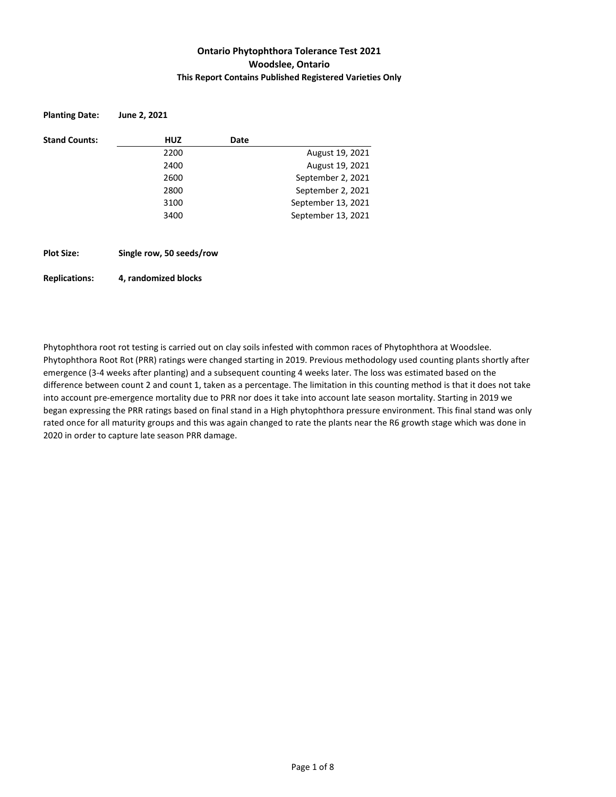## **Ontario Phytophthora Tolerance Test 2021 Woodslee, Ontario This Report Contains Published Registered Varieties Only**

| <b>Planting Date:</b> | June 2, 2021             |      |                    |
|-----------------------|--------------------------|------|--------------------|
| <b>Stand Counts:</b>  | <b>HUZ</b>               | Date |                    |
|                       | 2200                     |      | August 19, 2021    |
|                       | 2400                     |      | August 19, 2021    |
|                       | 2600                     |      | September 2, 2021  |
|                       | 2800                     |      | September 2, 2021  |
|                       | 3100                     |      | September 13, 2021 |
|                       | 3400                     |      | September 13, 2021 |
|                       |                          |      |                    |
| <b>Plot Size:</b>     | Single row, 50 seeds/row |      |                    |

#### **Replications: 4, randomized blocks**

Phytophthora root rot testing is carried out on clay soils infested with common races of Phytophthora at Woodslee. Phytophthora Root Rot (PRR) ratings were changed starting in 2019. Previous methodology used counting plants shortly after emergence (3-4 weeks after planting) and a subsequent counting 4 weeks later. The loss was estimated based on the difference between count 2 and count 1, taken as a percentage. The limitation in this counting method is that it does not take into account pre-emergence mortality due to PRR nor does it take into account late season mortality. Starting in 2019 we began expressing the PRR ratings based on final stand in a High phytophthora pressure environment. This final stand was only rated once for all maturity groups and this was again changed to rate the plants near the R6 growth stage which was done in 2020 in order to capture late season PRR damage.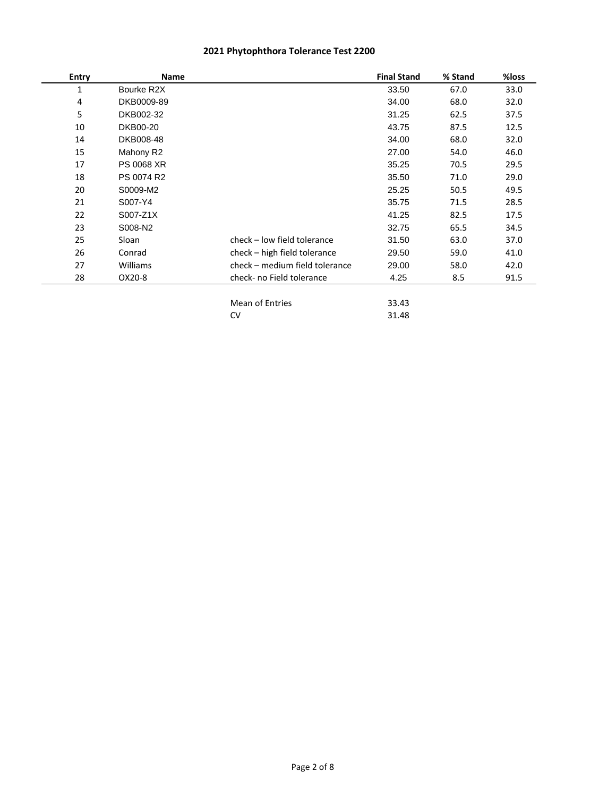| <b>Entry</b> | Name              |                                | <b>Final Stand</b> | % Stand | %loss |
|--------------|-------------------|--------------------------------|--------------------|---------|-------|
| 1            | Bourke R2X        |                                | 33.50              | 67.0    | 33.0  |
| 4            | DKB0009-89        |                                | 34.00              | 68.0    | 32.0  |
| 5            | DKB002-32         |                                | 31.25              | 62.5    | 37.5  |
| 10           | DKB00-20          |                                | 43.75              | 87.5    | 12.5  |
| 14           | DKB008-48         |                                | 34.00              | 68.0    | 32.0  |
| 15           | Mahony R2         |                                | 27.00              | 54.0    | 46.0  |
| 17           | <b>PS 0068 XR</b> |                                | 35.25              | 70.5    | 29.5  |
| 18           | PS 0074 R2        |                                | 35.50              | 71.0    | 29.0  |
| 20           | S0009-M2          |                                | 25.25              | 50.5    | 49.5  |
| 21           | S007-Y4           |                                | 35.75              | 71.5    | 28.5  |
| 22           | S007-Z1X          |                                | 41.25              | 82.5    | 17.5  |
| 23           | S008-N2           |                                | 32.75              | 65.5    | 34.5  |
| 25           | Sloan             | check - low field tolerance    | 31.50              | 63.0    | 37.0  |
| 26           | Conrad            | check – high field tolerance   | 29.50              | 59.0    | 41.0  |
| 27           | Williams          | check - medium field tolerance | 29.00              | 58.0    | 42.0  |
| 28           | OX20-8            | check- no Field tolerance      | 4.25               | 8.5     | 91.5  |
|              |                   | Mean of Entries                | 33.43              |         |       |
|              |                   | CV                             | 31.48              |         |       |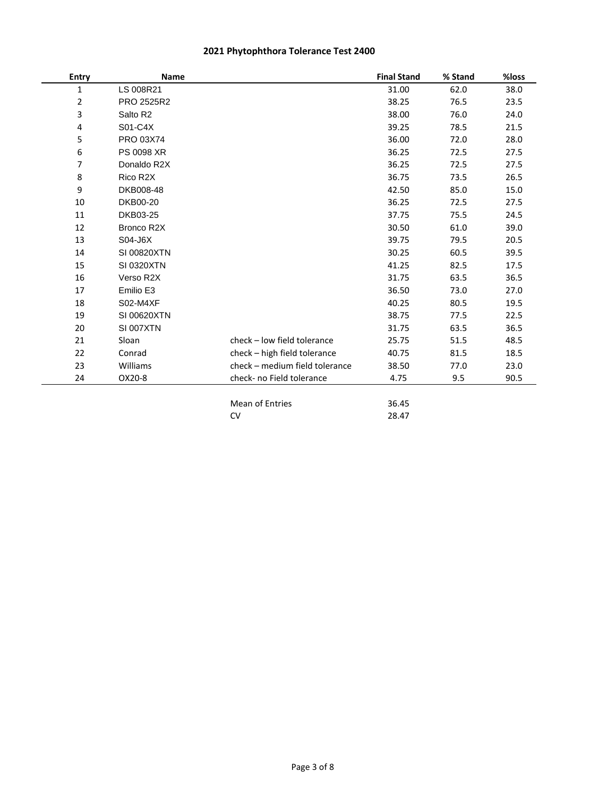| <b>Name</b>      |                                | <b>Final Stand</b>                  | % Stand        | %loss |
|------------------|--------------------------------|-------------------------------------|----------------|-------|
| LS 008R21        |                                | 31.00                               | 62.0           | 38.0  |
| PRO 2525R2       |                                | 38.25                               | 76.5           | 23.5  |
| Salto R2         |                                | 38.00                               | 76.0           | 24.0  |
| S01-C4X          |                                | 39.25                               | 78.5           | 21.5  |
| PRO 03X74        |                                | 36.00                               | 72.0           | 28.0  |
| PS 0098 XR       |                                | 36.25                               | 72.5           | 27.5  |
| Donaldo R2X      |                                | 36.25                               | 72.5           | 27.5  |
| Rico R2X         |                                | 36.75                               | 73.5           | 26.5  |
| DKB008-48        |                                | 42.50                               | 85.0           | 15.0  |
| DKB00-20         |                                | 36.25                               | 72.5           | 27.5  |
| DKB03-25         |                                | 37.75                               | 75.5           | 24.5  |
| Bronco R2X       |                                | 30.50                               | 61.0           | 39.0  |
| S04-J6X          |                                | 39.75                               | 79.5           | 20.5  |
| SI 00820XTN      |                                | 30.25                               | 60.5           | 39.5  |
| SI 0320XTN       |                                | 41.25                               | 82.5           | 17.5  |
| Verso R2X        |                                | 31.75                               | 63.5           | 36.5  |
| Emilio E3        |                                | 36.50                               | 73.0           | 27.0  |
| <b>S02-M4XF</b>  |                                | 40.25                               | 80.5           | 19.5  |
| SI 00620XTN      |                                | 38.75                               | 77.5           | 22.5  |
| <b>SI 007XTN</b> |                                | 31.75                               | 63.5           | 36.5  |
| Sloan            | check - low field tolerance    | 25.75                               | 51.5           | 48.5  |
| Conrad           | check - high field tolerance   | 40.75                               | 81.5           | 18.5  |
| Williams         | check - medium field tolerance | 38.50                               | 77.0           | 23.0  |
| OX20-8           | check- no Field tolerance      | 4.75                                | 9.5            | 90.5  |
|                  |                                |                                     |                |       |
|                  |                                |                                     |                |       |
|                  |                                | <b>Mean of Entries</b><br><b>CV</b> | 36.45<br>28.47 |       |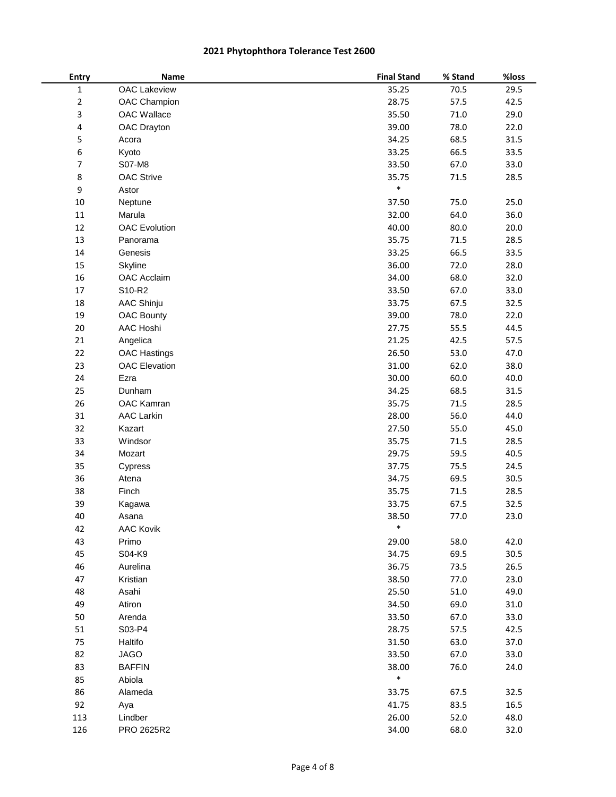| Entry       | <b>Name</b>          | <b>Final Stand</b> | % Stand  | %loss |
|-------------|----------------------|--------------------|----------|-------|
| $\mathbf 1$ | <b>OAC Lakeview</b>  | 35.25              | 70.5     | 29.5  |
| $\mathbf 2$ | OAC Champion         | 28.75              | 57.5     | 42.5  |
| 3           | OAC Wallace          | 35.50              | 71.0     | 29.0  |
| 4           | OAC Drayton          | 39.00              | 78.0     | 22.0  |
| 5           | Acora                | 34.25              | 68.5     | 31.5  |
| 6           | Kyoto                | 33.25              | 66.5     | 33.5  |
| 7           | S07-M8               | 33.50              | 67.0     | 33.0  |
| 8           | <b>OAC Strive</b>    | 35.75              | 71.5     | 28.5  |
| 9           | Astor                | $\ast$             |          |       |
| 10          | Neptune              | 37.50              | 75.0     | 25.0  |
| $11\,$      | Marula               | 32.00              | 64.0     | 36.0  |
| 12          | <b>OAC Evolution</b> | 40.00              | 80.0     | 20.0  |
| 13          | Panorama             | 35.75              | $71.5\,$ | 28.5  |
| 14          | Genesis              | 33.25              | 66.5     | 33.5  |
| 15          | Skyline              | 36.00              | 72.0     | 28.0  |
| 16          | OAC Acclaim          | 34.00              | 68.0     | 32.0  |
| 17          | S10-R2               | 33.50              | 67.0     | 33.0  |
| 18          | <b>AAC Shinju</b>    | 33.75              | 67.5     | 32.5  |
| 19          | <b>OAC Bounty</b>    | 39.00              | 78.0     | 22.0  |
| 20          | AAC Hoshi            | 27.75              | 55.5     | 44.5  |
| 21          | Angelica             | 21.25              | 42.5     | 57.5  |
| 22          | <b>OAC Hastings</b>  | 26.50              | 53.0     | 47.0  |
| 23          | <b>OAC Elevation</b> | 31.00              | 62.0     | 38.0  |
| 24          | Ezra                 | 30.00              | 60.0     | 40.0  |
| 25          | Dunham               | 34.25              | 68.5     | 31.5  |
| 26          | OAC Kamran           | 35.75              | 71.5     | 28.5  |
| 31          | <b>AAC Larkin</b>    | 28.00              | 56.0     | 44.0  |
| 32          | Kazart               | 27.50              | 55.0     | 45.0  |
| 33          | Windsor              | 35.75              | 71.5     | 28.5  |
| 34          | Mozart               | 29.75              | 59.5     | 40.5  |
| 35          | Cypress              | 37.75              | 75.5     | 24.5  |
| 36          | Atena                | 34.75              | 69.5     | 30.5  |
| 38          | Finch                | 35.75              | 71.5     | 28.5  |
| 39          | Kagawa               | 33.75              | 67.5     | 32.5  |
| 40          | Asana                | 38.50              | 77.0     | 23.0  |
| 42          | <b>AAC Kovik</b>     | *                  |          |       |
| 43          | Primo                | 29.00              | 58.0     | 42.0  |
| 45          | S04-K9               | 34.75              | 69.5     | 30.5  |
| 46          | Aurelina             | 36.75              | 73.5     | 26.5  |
| 47          | Kristian             | 38.50              | 77.0     | 23.0  |
| 48          | Asahi                | 25.50              | 51.0     | 49.0  |
| 49          | Atiron               | 34.50              | 69.0     | 31.0  |
| 50          | Arenda               | 33.50              | 67.0     | 33.0  |
| 51          | S03-P4               | 28.75              | 57.5     | 42.5  |
| 75          | Haltifo              | 31.50              | 63.0     | 37.0  |
| 82          | <b>JAGO</b>          | 33.50              | 67.0     | 33.0  |
| 83          | <b>BAFFIN</b>        | 38.00              | 76.0     | 24.0  |
| 85          | Abiola               | $\ast$             |          |       |
| 86          | Alameda              | 33.75              | 67.5     | 32.5  |
| 92          | Aya                  | 41.75              | 83.5     | 16.5  |
| 113         | Lindber              | 26.00              | 52.0     | 48.0  |
| 126         | PRO 2625R2           | 34.00              | 68.0     | 32.0  |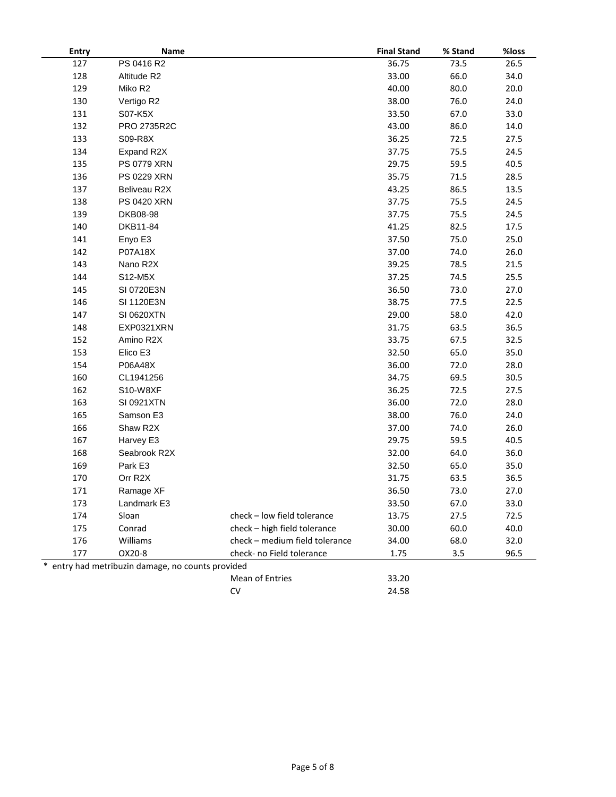| Entry | Name                                            |                                | <b>Final Stand</b> | % Stand | %loss |
|-------|-------------------------------------------------|--------------------------------|--------------------|---------|-------|
| 127   | PS 0416 R2                                      |                                | 36.75              | 73.5    | 26.5  |
| 128   | Altitude R2                                     |                                | 33.00              | 66.0    | 34.0  |
| 129   | Miko R2                                         |                                | 40.00              | 80.0    | 20.0  |
| 130   | Vertigo R2                                      |                                | 38.00              | 76.0    | 24.0  |
| 131   | S07-K5X                                         |                                | 33.50              | 67.0    | 33.0  |
| 132   | PRO 2735R2C                                     |                                | 43.00              | 86.0    | 14.0  |
| 133   | S09-R8X                                         |                                | 36.25              | 72.5    | 27.5  |
| 134   | Expand R2X                                      |                                | 37.75              | 75.5    | 24.5  |
| 135   | <b>PS 0779 XRN</b>                              |                                | 29.75              | 59.5    | 40.5  |
| 136   | PS 0229 XRN                                     |                                | 35.75              | 71.5    | 28.5  |
| 137   | Beliveau R2X                                    |                                | 43.25              | 86.5    | 13.5  |
| 138   | <b>PS 0420 XRN</b>                              |                                | 37.75              | 75.5    | 24.5  |
| 139   | DKB08-98                                        |                                | 37.75              | 75.5    | 24.5  |
| 140   | DKB11-84                                        |                                | 41.25              | 82.5    | 17.5  |
| 141   | Enyo E3                                         |                                | 37.50              | 75.0    | 25.0  |
| 142   | P07A18X                                         |                                | 37.00              | 74.0    | 26.0  |
| 143   | Nano R2X                                        |                                | 39.25              | 78.5    | 21.5  |
| 144   | S12-M5X                                         |                                | 37.25              | 74.5    | 25.5  |
| 145   | SI 0720E3N                                      |                                | 36.50              | 73.0    | 27.0  |
| 146   | SI 1120E3N                                      |                                | 38.75              | 77.5    | 22.5  |
| 147   | SI 0620XTN                                      |                                | 29.00              | 58.0    | 42.0  |
| 148   | EXP0321XRN                                      |                                | 31.75              | 63.5    | 36.5  |
| 152   | Amino R2X                                       |                                | 33.75              | 67.5    | 32.5  |
| 153   | Elico E3                                        |                                | 32.50              | 65.0    | 35.0  |
| 154   | P06A48X                                         |                                | 36.00              | 72.0    | 28.0  |
| 160   | CL1941256                                       |                                | 34.75              | 69.5    | 30.5  |
| 162   | S10-W8XF                                        |                                | 36.25              | 72.5    | 27.5  |
| 163   | SI 0921XTN                                      |                                | 36.00              | 72.0    | 28.0  |
| 165   | Samson E3                                       |                                | 38.00              | 76.0    | 24.0  |
| 166   | Shaw R2X                                        |                                | 37.00              | 74.0    | 26.0  |
| 167   | Harvey E3                                       |                                | 29.75              | 59.5    | 40.5  |
| 168   | Seabrook R2X                                    |                                | 32.00              | 64.0    | 36.0  |
| 169   | Park E3                                         |                                | 32.50              | 65.0    | 35.0  |
| 170   | Orr R2X                                         |                                | 31.75              | 63.5    | 36.5  |
| 171   | Ramage XF                                       |                                | 36.50              | 73.0    | 27.0  |
| 173   | Landmark E3                                     |                                | 33.50              | 67.0    | 33.0  |
| 174   | Sloan                                           | check - low field tolerance    | 13.75              | 27.5    | 72.5  |
| 175   | Conrad                                          | check - high field tolerance   | 30.00              | 60.0    | 40.0  |
| 176   | Williams                                        | check - medium field tolerance | 34.00              | 68.0    | 32.0  |
| 177   | OX20-8                                          | check- no Field tolerance      | 1.75               | 3.5     | 96.5  |
|       | entry had metribuzin damage, no counts provided |                                |                    |         |       |
|       |                                                 | Mean of Entries                | 33.20              |         |       |
|       |                                                 | CV                             | 24.58              |         |       |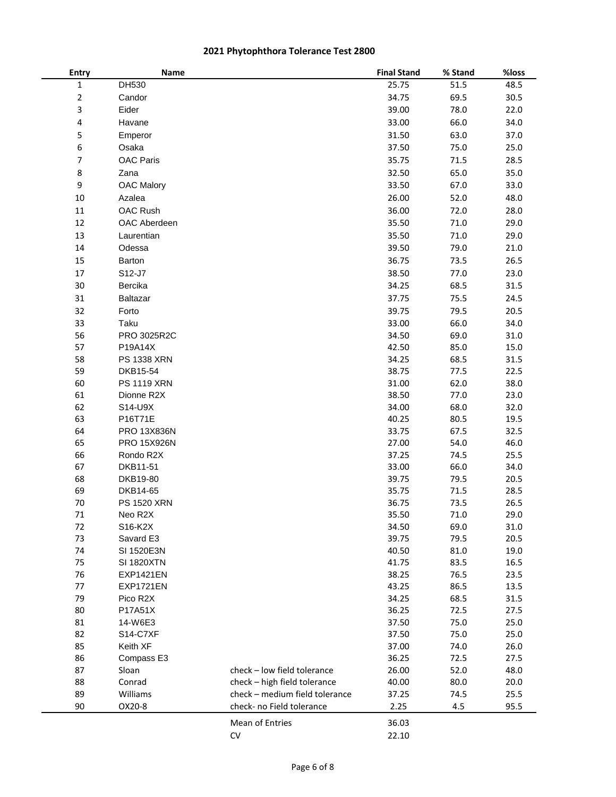| Entry          | Name               |                                | <b>Final Stand</b> | % Stand | %loss |
|----------------|--------------------|--------------------------------|--------------------|---------|-------|
| $\mathbf 1$    | DH530              |                                | 25.75              | 51.5    | 48.5  |
| $\overline{2}$ | Candor             |                                | 34.75              | 69.5    | 30.5  |
| 3              | Eider              |                                | 39.00              | 78.0    | 22.0  |
| 4              | Havane             |                                | 33.00              | 66.0    | 34.0  |
| 5              | Emperor            |                                | 31.50              | 63.0    | 37.0  |
| 6              | Osaka              |                                | 37.50              | 75.0    | 25.0  |
| $\overline{7}$ | <b>OAC Paris</b>   |                                | 35.75              | 71.5    | 28.5  |
| 8              | Zana               |                                | 32.50              | 65.0    | 35.0  |
| 9              | <b>OAC Malory</b>  |                                | 33.50              | 67.0    | 33.0  |
| 10             | Azalea             |                                | 26.00              | 52.0    | 48.0  |
|                | OAC Rush           |                                |                    |         |       |
| 11             |                    |                                | 36.00              | 72.0    | 28.0  |
| 12             | OAC Aberdeen       |                                | 35.50              | 71.0    | 29.0  |
| 13             | Laurentian         |                                | 35.50              | 71.0    | 29.0  |
| 14             | Odessa             |                                | 39.50              | 79.0    | 21.0  |
| 15             | Barton             |                                | 36.75              | 73.5    | 26.5  |
| 17             | S12-J7             |                                | 38.50              | 77.0    | 23.0  |
| 30             | Bercika            |                                | 34.25              | 68.5    | 31.5  |
| 31             | Baltazar           |                                | 37.75              | 75.5    | 24.5  |
| 32             | Forto              |                                | 39.75              | 79.5    | 20.5  |
| 33             | Taku               |                                | 33.00              | 66.0    | 34.0  |
| 56             | PRO 3025R2C        |                                | 34.50              | 69.0    | 31.0  |
| 57             | P19A14X            |                                | 42.50              | 85.0    | 15.0  |
| 58             | PS 1338 XRN        |                                | 34.25              | 68.5    | 31.5  |
| 59             | DKB15-54           |                                | 38.75              | 77.5    | 22.5  |
| 60             | <b>PS 1119 XRN</b> |                                | 31.00              | 62.0    | 38.0  |
| 61             | Dionne R2X         |                                | 38.50              | 77.0    | 23.0  |
| 62             | S14-U9X            |                                | 34.00              | 68.0    | 32.0  |
| 63             | P16T71E            |                                | 40.25              | 80.5    | 19.5  |
| 64             | <b>PRO 13X836N</b> |                                | 33.75              | 67.5    | 32.5  |
| 65             | <b>PRO 15X926N</b> |                                | 27.00              | 54.0    | 46.0  |
| 66             | Rondo R2X          |                                | 37.25              | 74.5    | 25.5  |
| 67             | DKB11-51           |                                | 33.00              | 66.0    | 34.0  |
| 68             | DKB19-80           |                                | 39.75              | 79.5    | 20.5  |
| 69             | DKB14-65           |                                | 35.75              | 71.5    | 28.5  |
| 70             | <b>PS 1520 XRN</b> |                                | 36.75              | 73.5    | 26.5  |
| 71             | Neo R2X            |                                | 35.50              | 71.0    | 29.0  |
| 72             | S16-K2X            |                                | 34.50              | 69.0    | 31.0  |
| 73             | Savard E3          |                                | 39.75              | 79.5    | 20.5  |
| 74             | SI 1520E3N         |                                | 40.50              | 81.0    | 19.0  |
| 75             | <b>SI 1820XTN</b>  |                                | 41.75              | 83.5    | 16.5  |
| 76             | <b>EXP1421EN</b>   |                                | 38.25              | 76.5    | 23.5  |
| 77             | <b>EXP1721EN</b>   |                                | 43.25              | 86.5    | 13.5  |
| 79             | Pico R2X           |                                | 34.25              | 68.5    | 31.5  |
| 80             | P17A51X            |                                | 36.25              | 72.5    | 27.5  |
| 81             | 14-W6E3            |                                | 37.50              | 75.0    | 25.0  |
| 82             | S14-C7XF           |                                | 37.50              | 75.0    | 25.0  |
| 85             | Keith XF           |                                | 37.00              | 74.0    | 26.0  |
| 86             | Compass E3         |                                | 36.25              | 72.5    | 27.5  |
| 87             | Sloan              | check - low field tolerance    | 26.00              | 52.0    | 48.0  |
| 88             | Conrad             | check - high field tolerance   | 40.00              | 80.0    | 20.0  |
| 89             | Williams           | check - medium field tolerance | 37.25              | 74.5    | 25.5  |
| 90             | OX20-8             | check- no Field tolerance      | 2.25               | 4.5     | 95.5  |
|                |                    | Mean of Entries                | 36.03              |         |       |
|                |                    | ${\sf CV}$                     | 22.10              |         |       |
|                |                    |                                |                    |         |       |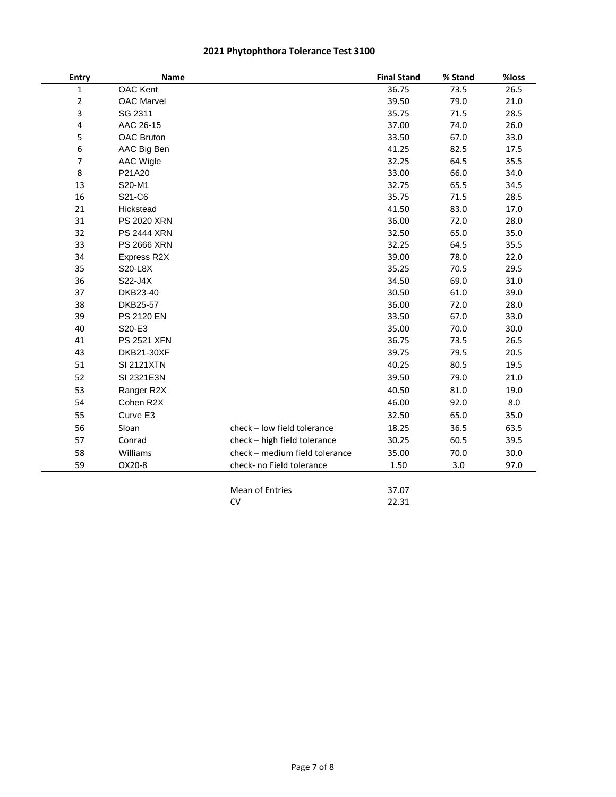| <b>Name</b>        |                                | <b>Final Stand</b>                              | % Stand        | %loss |
|--------------------|--------------------------------|-------------------------------------------------|----------------|-------|
| <b>OAC</b> Kent    |                                | 36.75                                           | 73.5           | 26.5  |
| <b>OAC Marvel</b>  |                                | 39.50                                           | 79.0           | 21.0  |
| SG 2311            |                                | 35.75                                           | 71.5           | 28.5  |
| AAC 26-15          |                                | 37.00                                           | 74.0           | 26.0  |
| <b>OAC Bruton</b>  |                                | 33.50                                           | 67.0           | 33.0  |
| AAC Big Ben        |                                | 41.25                                           | 82.5           | 17.5  |
| <b>AAC Wigle</b>   |                                | 32.25                                           | 64.5           | 35.5  |
| P21A20             |                                | 33.00                                           | 66.0           | 34.0  |
| S20-M1             |                                | 32.75                                           | 65.5           | 34.5  |
| S21-C6             |                                | 35.75                                           | 71.5           | 28.5  |
| Hickstead          |                                | 41.50                                           | 83.0           | 17.0  |
| <b>PS 2020 XRN</b> |                                | 36.00                                           | 72.0           | 28.0  |
| <b>PS 2444 XRN</b> |                                | 32.50                                           | 65.0           | 35.0  |
| <b>PS 2666 XRN</b> |                                | 32.25                                           | 64.5           | 35.5  |
| Express R2X        |                                | 39.00                                           | 78.0           | 22.0  |
| S20-L8X            |                                | 35.25                                           | 70.5           | 29.5  |
| S22-J4X            |                                | 34.50                                           | 69.0           | 31.0  |
| DKB23-40           |                                | 30.50                                           | 61.0           | 39.0  |
| DKB25-57           |                                | 36.00                                           | 72.0           | 28.0  |
| PS 2120 EN         |                                | 33.50                                           | 67.0           | 33.0  |
| S20-E3             |                                | 35.00                                           | 70.0           | 30.0  |
| <b>PS 2521 XFN</b> |                                | 36.75                                           | 73.5           | 26.5  |
| <b>DKB21-30XF</b>  |                                | 39.75                                           | 79.5           | 20.5  |
| <b>SI 2121XTN</b>  |                                | 40.25                                           | 80.5           | 19.5  |
| SI 2321E3N         |                                | 39.50                                           | 79.0           | 21.0  |
| Ranger R2X         |                                | 40.50                                           | 81.0           | 19.0  |
| Cohen R2X          |                                | 46.00                                           | 92.0           | 8.0   |
| Curve E3           |                                | 32.50                                           | 65.0           | 35.0  |
| Sloan              | check - low field tolerance    | 18.25                                           | 36.5           | 63.5  |
| Conrad             |                                | 30.25                                           | 60.5           | 39.5  |
|                    | check - medium field tolerance |                                                 |                | 30.0  |
| OX20-8             | check- no Field tolerance      | 1.50                                            | 3.0            | 97.0  |
|                    |                                |                                                 |                |       |
|                    | CV                             | 22.31                                           |                |       |
|                    | Williams                       | check - high field tolerance<br>Mean of Entries | 35.00<br>37.07 | 70.0  |